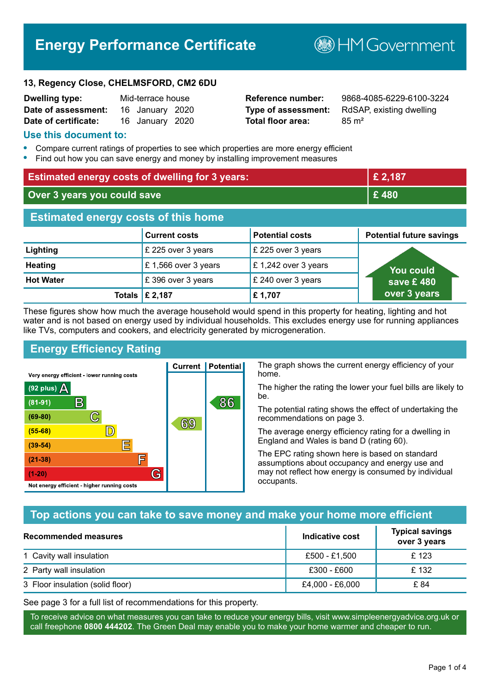# **Energy Performance Certificate**

**B**HM Government

#### **13, Regency Close, CHELMSFORD, CM2 6DU**

| <b>Dwelling type:</b> | Mid-terrace house |                 |  |
|-----------------------|-------------------|-----------------|--|
| Date of assessment:   |                   | 16 January 2020 |  |
| Date of certificate:  |                   | 16 January 2020 |  |

# **Total floor area:** 85 m<sup>2</sup>

**Dwelling type:** Mid-terrace house **Reference number:** 9868-4085-6229-6100-3224 **Type of assessment:** RdSAP, existing dwelling

#### **Use this document to:**

- **•** Compare current ratings of properties to see which properties are more energy efficient
- **•** Find out how you can save energy and money by installing improvement measures

| <b>Estimated energy costs of dwelling for 3 years:</b> |                      | £ 2,187                |                                 |
|--------------------------------------------------------|----------------------|------------------------|---------------------------------|
| Over 3 years you could save                            |                      | £480                   |                                 |
| <b>Estimated energy costs of this home</b>             |                      |                        |                                 |
|                                                        | <b>Current costs</b> | <b>Potential costs</b> | <b>Potential future savings</b> |
| Lighting                                               | £ 225 over 3 years   | £ 225 over 3 years     |                                 |
| <b>Heating</b>                                         | £1,566 over 3 years  | £1,242 over 3 years    | <b>You could</b>                |
| <b>Hot Water</b>                                       | £396 over 3 years    | £ 240 over 3 years     | save £480                       |
|                                                        | Totals   £ 2,187     | £1,707                 | over 3 years                    |

These figures show how much the average household would spend in this property for heating, lighting and hot water and is not based on energy used by individual households. This excludes energy use for running appliances like TVs, computers and cookers, and electricity generated by microgeneration.

**Current | Potential** 

69

# **Energy Efficiency Rating**

 $\mathbb{C}$ 

D)

IΞ

E

G

Very energy efficient - lower running costs

R

Not energy efficient - higher running costs

 $(92$  plus)

 $(81 - 91)$  $(69 - 80)$ 

 $(55-68)$  $(39 - 54)$ 

 $(21-38)$ 

 $(1-20)$ 

- 78

The graph shows the current energy efficiency of your home.

The higher the rating the lower your fuel bills are likely to be.

The potential rating shows the effect of undertaking the recommendations on page 3.

The average energy efficiency rating for a dwelling in England and Wales is band D (rating 60).

The EPC rating shown here is based on standard assumptions about occupancy and energy use and may not reflect how energy is consumed by individual occupants.

### **Top actions you can take to save money and make your home more efficient**

86

| <b>Recommended measures</b>      | Indicative cost | <b>Typical savings</b><br>over 3 years |
|----------------------------------|-----------------|----------------------------------------|
| 1 Cavity wall insulation         | £500 - £1.500   | £123                                   |
| 2 Party wall insulation          | £300 - £600     | £132                                   |
| 3 Floor insulation (solid floor) | £4,000 - £6,000 | £ 84                                   |

See page 3 for a full list of recommendations for this property.

To receive advice on what measures you can take to reduce your energy bills, visit www.simpleenergyadvice.org.uk or call freephone **0800 444202**. The Green Deal may enable you to make your home warmer and cheaper to run.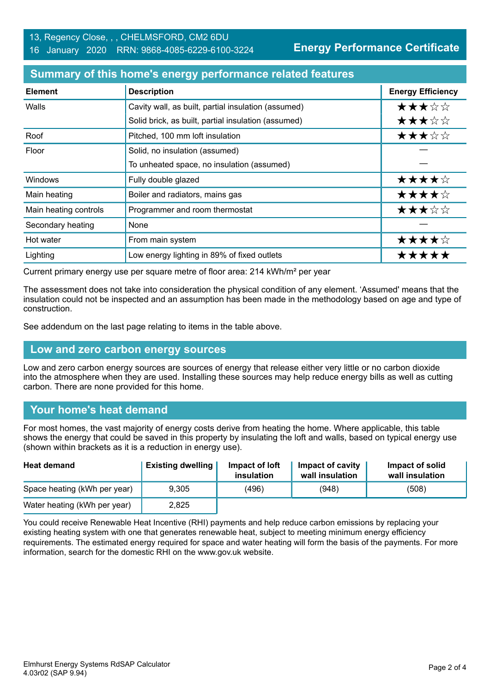**Energy Performance Certificate**

#### **Summary of this home's energy performance related features**

| <b>Element</b>        | <b>Description</b>                                  | <b>Energy Efficiency</b> |
|-----------------------|-----------------------------------------------------|--------------------------|
| Walls                 | Cavity wall, as built, partial insulation (assumed) | ★★★☆☆                    |
|                       | Solid brick, as built, partial insulation (assumed) | ★★★☆☆                    |
| Roof                  | Pitched, 100 mm loft insulation                     | ★★★☆☆                    |
| Floor                 | Solid, no insulation (assumed)                      |                          |
|                       | To unheated space, no insulation (assumed)          |                          |
| Windows               | Fully double glazed                                 | ★★★★☆                    |
| Main heating          | Boiler and radiators, mains gas                     | ★★★★☆                    |
| Main heating controls | Programmer and room thermostat                      | ★★★☆☆                    |
| Secondary heating     | None                                                |                          |
| Hot water             | From main system                                    | ★★★★☆                    |
| Lighting              | Low energy lighting in 89% of fixed outlets         | *****                    |

Current primary energy use per square metre of floor area: 214 kWh/m² per year

The assessment does not take into consideration the physical condition of any element. 'Assumed' means that the insulation could not be inspected and an assumption has been made in the methodology based on age and type of construction.

See addendum on the last page relating to items in the table above.

#### **Low and zero carbon energy sources**

Low and zero carbon energy sources are sources of energy that release either very little or no carbon dioxide into the atmosphere when they are used. Installing these sources may help reduce energy bills as well as cutting carbon. There are none provided for this home.

### **Your home's heat demand**

For most homes, the vast majority of energy costs derive from heating the home. Where applicable, this table shows the energy that could be saved in this property by insulating the loft and walls, based on typical energy use (shown within brackets as it is a reduction in energy use).

| <b>Heat demand</b>           | <b>Existing dwelling</b> | Impact of loft<br>insulation | Impact of cavity<br>wall insulation | Impact of solid<br>wall insulation |
|------------------------------|--------------------------|------------------------------|-------------------------------------|------------------------------------|
| Space heating (kWh per year) | 9.305                    | (496)                        | (948)                               | (508)                              |
| Water heating (kWh per year) | 2,825                    |                              |                                     |                                    |

You could receive Renewable Heat Incentive (RHI) payments and help reduce carbon emissions by replacing your existing heating system with one that generates renewable heat, subject to meeting minimum energy efficiency requirements. The estimated energy required for space and water heating will form the basis of the payments. For more information, search for the domestic RHI on the www.gov.uk website.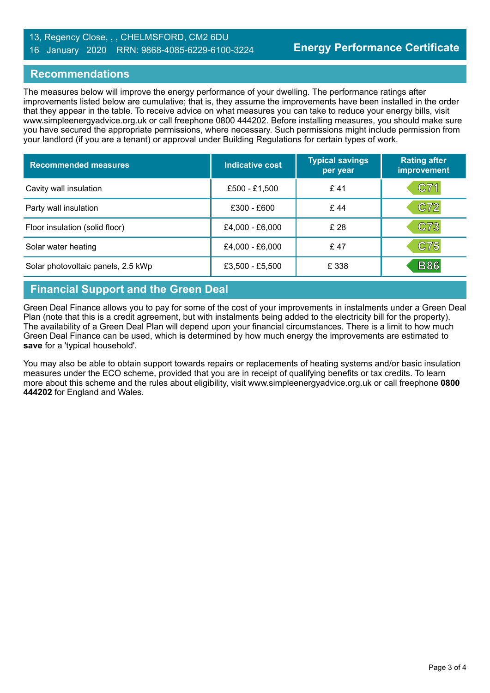#### 13, Regency Close, , , CHELMSFORD, CM2 6DU 16 January 2020 RRN: 9868-4085-6229-6100-3224

#### **Recommendations**

The measures below will improve the energy performance of your dwelling. The performance ratings after improvements listed below are cumulative; that is, they assume the improvements have been installed in the order that they appear in the table. To receive advice on what measures you can take to reduce your energy bills, visit www.simpleenergyadvice.org.uk or call freephone 0800 444202. Before installing measures, you should make sure you have secured the appropriate permissions, where necessary. Such permissions might include permission from your landlord (if you are a tenant) or approval under Building Regulations for certain types of work.

| <b>Recommended measures</b>        | Indicative cost | <b>Typical savings</b><br>per year | <b>Rating after</b><br><b>improvement</b> |
|------------------------------------|-----------------|------------------------------------|-------------------------------------------|
| Cavity wall insulation             | £500 - £1,500   | £41                                | C71                                       |
| Party wall insulation              | £300 - £600     | £44                                | C72                                       |
| Floor insulation (solid floor)     | £4,000 - £6,000 | £ 28                               | C73                                       |
| Solar water heating                | £4,000 - £6,000 | £47                                | C75                                       |
| Solar photovoltaic panels, 2.5 kWp | £3,500 - £5,500 | £ 338                              | <b>B86</b>                                |

### **Financial Support and the Green Deal**

Green Deal Finance allows you to pay for some of the cost of your improvements in instalments under a Green Deal Plan (note that this is a credit agreement, but with instalments being added to the electricity bill for the property). The availability of a Green Deal Plan will depend upon your financial circumstances. There is a limit to how much Green Deal Finance can be used, which is determined by how much energy the improvements are estimated to **save** for a 'typical household'.

You may also be able to obtain support towards repairs or replacements of heating systems and/or basic insulation measures under the ECO scheme, provided that you are in receipt of qualifying benefits or tax credits. To learn more about this scheme and the rules about eligibility, visit www.simpleenergyadvice.org.uk or call freephone **0800 444202** for England and Wales.